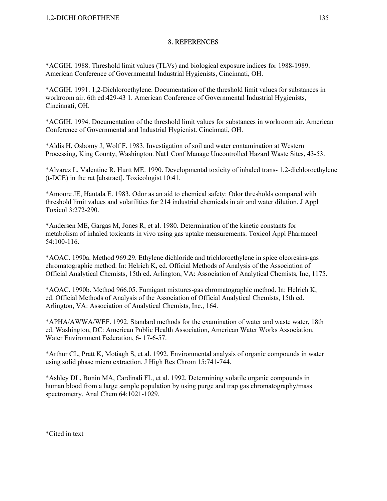\*ACGIH. 1988. Threshold limit values (TLVs) and biological exposure indices for 1988-1989. American Conference of Governmental Industrial Hygienists, Cincinnati, OH.

\*ACGIH. 1991. 1,2-Dichloroethylene. Documentation of the threshold limit values for substances in workroom air. 6th ed:429-43 1. American Conference of Governmental Industrial Hygienists, Cincinnati, OH.

\*ACGIH. 1994. Documentation of the threshold limit values for substances in workroom air. American Conference of Governmental and Industrial Hygienist. Cincinnati, OH.

\*Aldis H, Osbomy J, Wolf F. 1983. Investigation of soil and water contamination at Western Processing, King County, Washington. Nat1 Conf Manage Uncontrolled Hazard Waste Sites, 43-53.

\*Alvarez L, Valentine R, Hurtt ME. 1990. Developmental toxicity of inhaled trans- 1,2-dichloroethylene (t-DCE) in the rat [abstract]. Toxicologist 10:41.

\*Amoore JE, Hautala E. 1983. Odor as an aid to chemical safety: Odor thresholds compared with threshold limit values and volatilities for 214 industrial chemicals in air and water dilution. J Appl Toxicol 3:272-290.

\*Andersen ME, Gargas M, Jones R, et al. 1980. Determination of the kinetic constants for metabolism of inhaled toxicants in vivo using gas uptake measurements. Toxicol Appl Pharmacol 54:100-116.

\*AOAC. 1990a. Method 969.29. Ethylene dichloride and trichloroethylene in spice oleoresins-gas chromatographic method. In: Helrich K, ed. Official Methods of Analysis of the Association of Official Analytical Chemists, 15th ed. Arlington, VA: Association of Analytical Chemists, Inc, 1175.

\*AOAC. 1990b. Method 966.05. Fumigant mixtures-gas chromatographic method. In: Helrich K, ed. Official Methods of Analysis of the Association of Official Analytical Chemists, 15th ed. Arlington, VA: Association of Analytical Chemists, Inc., 164.

\*APHA/AWWA/WEF. 1992. Standard methods for the examination of water and waste water, 18th ed. Washington, DC: American Public Health Association, American Water Works Association, Water Environment Federation, 6- 17-6-57.

\*Arthur CL, Pratt K, Motiagh S, et al. 1992. Environmental analysis of organic compounds in water using solid phase micro extraction. J High Res Chrom 15:741-744.

\*Ashley DL, Bonin MA, Cardinali FL, et al. 1992. Determining volatile organic compounds in human blood from a large sample population by using purge and trap gas chromatography/mass spectrometry. Anal Chem 64:1021-1029.

\*Cited in text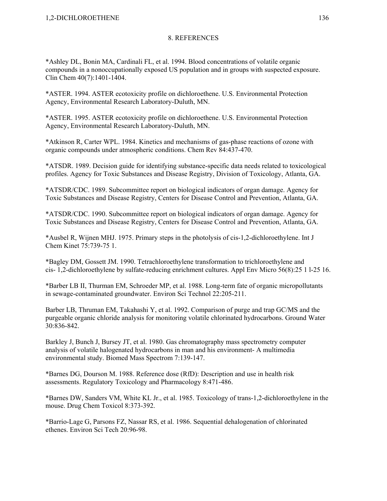\*Ashley DL, Bonin MA, Cardinali FL, et al. 1994. Blood concentrations of volatile organic compounds in a nonoccupationally exposed US population and in groups with suspected exposure. Clin Chem 40(7):1401-1404.

\*ASTER. 1994. ASTER ecotoxicity profile on dichloroethene. U.S. Environmental Protection Agency, Environmental Research Laboratory-Duluth, MN.

\*ASTER. 1995. ASTER ecotoxicity profile on dichloroethene. U.S. Environmental Protection Agency, Environmental Research Laboratory-Duluth, MN.

\*Atkinson R, Carter WPL. 1984. Kinetics and mechanisms of gas-phase reactions of ozone with organic compounds under atmospheric conditions. Chem Rev 84:437-470.

\*ATSDR. 1989. Decision guide for identifying substance-specific data needs related to toxicological profiles. Agency for Toxic Substances and Disease Registry, Division of Toxicology, Atlanta, GA.

\*ATSDR/CDC. 1989. Subcommittee report on biological indicators of organ damage. Agency for Toxic Substances and Disease Registry, Centers for Disease Control and Prevention, Atlanta, GA.

\*ATSDR/CDC. 1990. Subcommittee report on biological indicators of organ damage. Agency for Toxic Substances and Disease Registry, Centers for Disease Control and Prevention, Atlanta, GA.

\*Ausbel R, Wijnen MHJ. 1975. Primary steps in the photolysis of cis-1,2-dichloroethylene. Int J Chem Kinet 75:739-75 1.

\*Bagley DM, Gossett JM. 1990. Tetrachloroethylene transformation to trichloroethylene and cis- 1,2-dichloroethylene by sulfate-reducing enrichment cultures. Appl Env Micro 56(8):25 1 l-25 16.

\*Barber LB II, Thurman EM, Schroeder MP, et al. 1988. Long-term fate of organic micropollutants in sewage-contaminated groundwater. Environ Sci Technol 22:205-211.

Barber LB, Thruman EM, Takahashi Y, et al. 1992. Comparison of purge and trap GC/MS and the purgeable organic chloride analysis for monitoring volatile chlorinated hydrocarbons. Ground Water 30:836-842.

Barkley J, Bunch J, Bursey JT, et al. 1980. Gas chromatography mass spectrometry computer analysis of volatile halogenated hydrocarbons in man and his environment- A multimedia environmental study. Biomed Mass Spectrom 7:139-147.

\*Barnes DG, Dourson M. 1988. Reference dose (RfD): Description and use in health risk assessments. Regulatory Toxicology and Pharmacology 8:471-486.

\*Barnes DW, Sanders VM, White KL Jr., et al. 1985. Toxicology of trans-1,2-dichloroethylene in the mouse. Drug Chem Toxicol 8:373-392.

\*Barrio-Lage G, Parsons FZ, Nassar RS, et al. 1986. Sequential dehalogenation of chlorinated ethenes. Environ Sci Tech 20:96-98.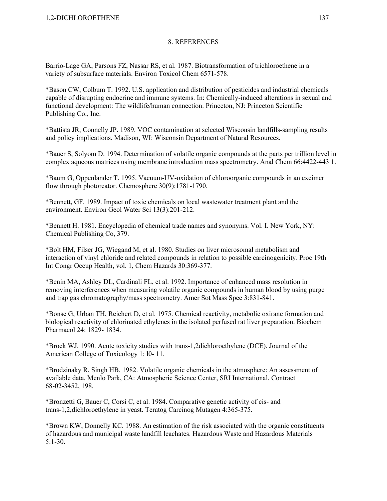Barrio-Lage GA, Parsons FZ, Nassar RS, et al. 1987. Biotransformation of trichloroethene in a variety of subsurface materials. Environ Toxicol Chem 6571-578.

\*Bason CW, Colbum T. 1992. U.S. application and distribution of pesticides and industrial chemicals capable of disrupting endocrine and immune systems. In: Chemically-induced alterations in sexual and functional development: The wildlife/human connection. Princeton, NJ: Princeton Scientific Publishing Co., Inc.

\*Battista JR, Connelly JP. 1989. VOC contamination at selected Wisconsin landfills-sampling results and policy implications. Madison, WI: Wisconsin Department of Natural Resources.

\*Bauer S, Solyom D. 1994. Determination of volatile organic compounds at the parts per trillion level in complex aqueous matrices using membrane introduction mass spectrometry. Anal Chem 66:4422-443 1.

\*Baum G, Oppenlander T. 1995. Vacuum-UV-oxidation of chloroorganic compounds in an excimer flow through photoreator. Chemosphere 30(9):1781-1790.

\*Bennett, GF. 1989. Impact of toxic chemicals on local wastewater treatment plant and the environment. Environ Geol Water Sci 13(3):201-212.

\*Bennett H. 1981. Encyclopedia of chemical trade names and synonyms. Vol. I. New York, NY: Chemical Publishing Co, 379.

\*Bolt HM, Filser JG, Wiegand M, et al. 1980. Studies on liver microsomal metabolism and interaction of vinyl chloride and related compounds in relation to possible carcinogenicity. Proc 19th Int Congr Occup Health, vol. 1, Chem Hazards 30:369-377.

\*Benin MA, Ashley DL, Cardinali FL, et al. 1992. Importance of enhanced mass resolution in removing interferences when measuring volatile organic compounds in human blood by using purge and trap gas chromatography/mass spectrometry. Amer Sot Mass Spec 3:831-841.

\*Bonse G, Urban TH, Reichert D, et al. 1975. Chemical reactivity, metabolic oxirane formation and biological reactivity of chlorinated ethylenes in the isolated perfused rat liver preparation. Biochem Pharmacol 24: 1829- 1834.

\*Brock WJ. 1990. Acute toxicity studies with trans-1,2dichloroethylene (DCE). Journal of the American College of Toxicology 1: l0- 11.

\*Brodzinaky R, Singh HB. 1982. Volatile organic chemicals in the atmosphere: An assessment of available data. Menlo Park, CA: Atmospheric Science Center, SRI International. Contract 68-02-3452, 198.

\*Bronzetti G, Bauer C, Corsi C, et al. 1984. Comparative genetic activity of cis- and trans-1,2,dichloroethylene in yeast. Teratog Carcinog Mutagen 4:365-375.

\*Brown KW, Donnelly KC. 1988. An estimation of the risk associated with the organic constituents of hazardous and municipal waste landfill leachates. Hazardous Waste and Hazardous Materials 5:1-30.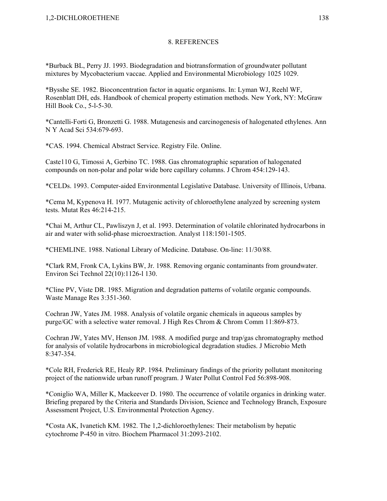\*Burback BL, Perry JJ. 1993. Biodegradation and biotransformation of groundwater pollutant mixtures by Mycobacterium vaccae. Applied and Environmental Microbiology 1025 1029.

\*Bysshe SE. 1982. Bioconcentration factor in aquatic organisms. In: Lyman WJ, Reehl WF, Rosenblatt DH, eds. Handbook of chemical property estimation methods. New York, NY: McGraw Hill Book Co., 5-l-5-30.

\*Cantelli-Forti G, Bronzetti G. 1988. Mutagenesis and carcinogenesis of halogenated ethylenes. Ann N Y Acad Sci 534:679-693.

\*CAS. 1994. Chemical Abstract Service. Registry File. Online.

Caste110 G, Timossi A, Gerbino TC. 1988. Gas chromatographic separation of halogenated compounds on non-polar and polar wide bore capillary columns. J Chrom 454:129-143.

\*CELDs. 1993. Computer-aided Environmental Legislative Database. University of Illinois, Urbana.

\*Cema M, Kypenova H. 1977. Mutagenic activity of chloroethylene analyzed by screening system tests. Mutat Res 46:214-215.

\*Chai M, Arthur CL, Pawliszyn J, et al. 1993. Determination of volatile chlorinated hydrocarbons in air and water with solid-phase microextraction. Analyst 118:1501-1505.

\*CHEMLINE. 1988. National Library of Medicine. Database. On-line: 11/30/88.

\*Clark RM, Fronk CA, Lykins BW, Jr. 1988. Removing organic contaminants from groundwater. Environ Sci Technol 22(10):1126-l 130.

\*Cline PV, Viste DR. 1985. Migration and degradation patterns of volatile organic compounds. Waste Manage Res 3:351-360.

Cochran JW, Yates JM. 1988. Analysis of volatile organic chemicals in aqueous samples by purge/GC with a selective water removal. J High Res Chrom & Chrom Comm 11:869-873.

Cochran JW, Yates MV, Henson JM. 1988. A modified purge and trap/gas chromatography method for analysis of volatile hydrocarbons in microbiological degradation studies. J Microbio Meth 8:347-354.

\*Cole RH, Frederick RE, Healy RP. 1984. Preliminary findings of the priority pollutant monitoring project of the nationwide urban runoff program. J Water Pollut Control Fed 56:898-908.

\*Coniglio WA, Miller K, Mackeever D. 1980. The occurrence of volatile organics in drinking water. Briefing prepared by the Criteria and Standards Division, Science and Technology Branch, Exposure Assessment Project, U.S. Environmental Protection Agency.

\*Costa AK, Ivanetich KM. 1982. The 1,2-dichloroethylenes: Their metabolism by hepatic cytochrome P-450 in vitro. Biochem Pharmacol 31:2093-2102.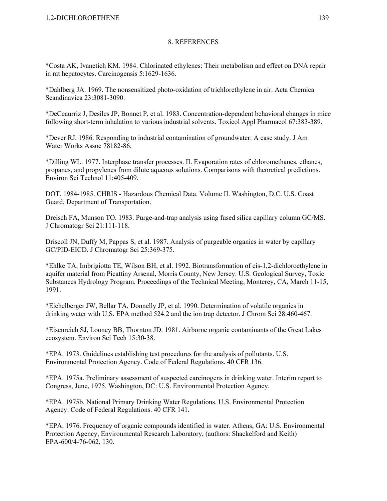\*Costa AK, Ivanetich KM. 1984. Chlorinated ethylenes: Their metabolism and effect on DNA repair in rat hepatocytes. Carcinogensis 5:1629-1636.

\*Dahlberg JA. 1969. The nonsensitized photo-oxidation of trichlorethylene in air. Acta Chemica Scandinavica 23:3081-3090.

\*DeCeaurriz J, Desiles JP, Bonnet P, et al. 1983. Concentration-dependent behavioral changes in mice following short-term inhalation to various industrial solvents. Toxicol Appl Pharmacol 67:383-389.

\*Dever RJ. 1986. Responding to industrial contamination of groundwater: A case study. J Am Water Works Assoc 78182-86.

\*Dilling WL. 1977. Interphase transfer processes. II. Evaporation rates of chloromethanes, ethanes, propanes, and propylenes from dilute aqueous solutions. Comparisons with theoretical predictions. Environ Sci Technol 11:405-409.

DOT. 1984-1985. CHRIS - Hazardous Chemical Data. Volume II. Washington, D.C. U.S. Coast Guard, Department of Transportation.

Dreisch FA, Munson TO. 1983. Purge-and-trap analysis using fused silica capillary column GC/MS. J Chromatogr Sci 21:111-118.

Driscoll JN, Duffy M, Pappas S, et al. 1987. Analysis of purgeable organics in water by capillary GC/PID-EICD. J Chromatogr Sci 25:369-375.

\*Ehlke TA, Imbrigiotta TE, Wilson BH, et al. 1992. Biotransformation of cis-1,2-dichloroethylene in aquifer material from Picattiny Arsenal, Morris County, New Jersey. U.S. Geological Survey, Toxic Substances Hydrology Program. Proceedings of the Technical Meeting, Monterey, CA, March 11-15, 1991.

\*Eichelberger JW, Bellar TA, Donnelly JP, et al. 1990. Determination of volatile organics in drinking water with U.S. EPA method 524.2 and the ion trap detector. J Chrom Sci 28:460-467.

\*Eisenreich SJ, Looney BB, Thornton JD. 1981. Airborne organic contaminants of the Great Lakes ecosystem. Environ Sci Tech 15:30-38.

\*EPA. 1973. Guidelines establishing test procedures for the analysis of pollutants. U.S. Environmental Protection Agency. Code of Federal Regulations. 40 CFR 136.

\*EPA. 1975a. Preliminary assessment of suspected carcinogens in drinking water. Interim report to Congress, June, 1975. Washington, DC: U.S. Environmental Protection Agency.

\*EPA. 1975b. National Primary Drinking Water Regulations. U.S. Environmental Protection Agency. Code of Federal Regulations. 40 CFR 141.

\*EPA. 1976. Frequency of organic compounds identified in water. Athens, GA: U.S. Environmental Protection Agency, Environmental Research Laboratory, (authors: Shackelford and Keith) EPA-600/4-76-062, 130.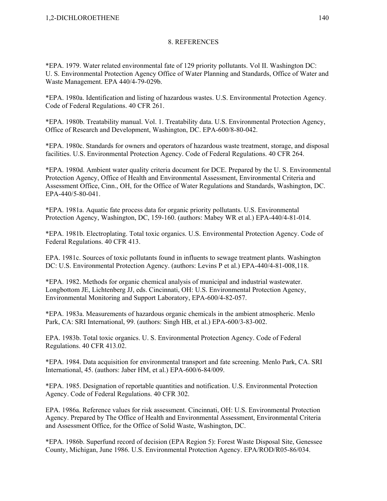\*EPA. 1979. Water related environmental fate of 129 priority pollutants. Vol II. Washington DC: U. S. Environmental Protection Agency Office of Water Planning and Standards, Office of Water and Waste Management. EPA 440/4-79-029b.

\*EPA. 1980a. Identification and listing of hazardous wastes. U.S. Environmental Protection Agency. Code of Federal Regulations. 40 CFR 261.

\*EPA. 1980b. Treatability manual. Vol. 1. Treatability data. U.S. Environmental Protection Agency, Office of Research and Development, Washington, DC. EPA-600/8-80-042.

\*EPA. 1980c. Standards for owners and operators of hazardous waste treatment, storage, and disposal facilities. U.S. Environmental Protection Agency. Code of Federal Regulations. 40 CFR 264.

\*EPA. 1980d. Ambient water quality criteria document for DCE. Prepared by the U. S. Environmental Protection Agency, Office of Health and Environmental Assessment, Environmental Criteria and Assessment Office, Cinn., OH, for the Office of Water Regulations and Standards, Washington, DC. EPA-440/5-80-041.

\*EPA. 1981a. Aquatic fate process data for organic priority pollutants. U.S. Environmental Protection Agency, Washington, DC, 159-160. (authors: Mabey WR et al.) EPA-440/4-81-014.

\*EPA. 1981b. Electroplating. Total toxic organics. U.S. Environmental Protection Agency. Code of Federal Regulations. 40 CFR 413.

EPA. 1981c. Sources of toxic pollutants found in influents to sewage treatment plants. Washington DC: U.S. Environmental Protection Agency. (authors: Levins P et al.) EPA-440/4-81-008,118.

\*EPA. 1982. Methods for organic chemical analysis of municipal and industrial wastewater. Longbottom JE, Lichtenberg JJ, eds. Cincinnati, OH: U.S. Environmental Protection Agency, Environmental Monitoring and Support Laboratory, EPA-600/4-82-057.

\*EPA. 1983a. Measurements of hazardous organic chemicals in the ambient atmospheric. Menlo Park, CA: SRI International, 99. (authors: Singh HB, et al.) EPA-600/3-83-002.

EPA. 1983b. Total toxic organics. U. S. Environmental Protection Agency. Code of Federal Regulations. 40 CFR 413.02.

\*EPA. 1984. Data acquisition for environmental transport and fate screening. Menlo Park, CA. SRI International, 45. (authors: Jaber HM, et al.) EPA-600/6-84/009.

\*EPA. 1985. Designation of reportable quantities and notification. U.S. Environmental Protection Agency. Code of Federal Regulations. 40 CFR 302.

EPA. 1986a. Reference values for risk assessment. Cincinnati, OH: U.S. Environmental Protection Agency. Prepared by The Office of Health and Environmental Assessment, Environmental Criteria and Assessment Office, for the Office of Solid Waste, Washington, DC.

\*EPA. 1986b. Superfund record of decision (EPA Region 5): Forest Waste Disposal Site, Genessee County, Michigan, June 1986. U.S. Environmental Protection Agency. EPA/ROD/R05-86/034.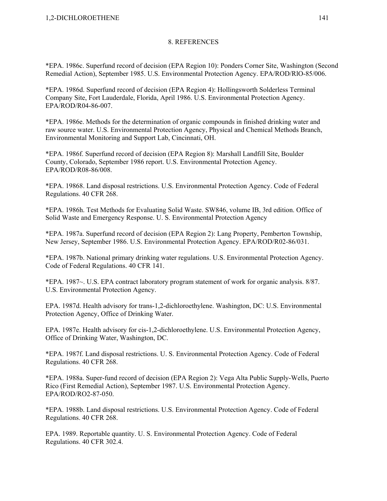\*EPA. 1986c. Superfund record of decision (EPA Region 10): Ponders Corner Site, Washington (Second Remedial Action), September 1985. U.S. Environmental Protection Agency. EPA/ROD/RlO-85/006.

\*EPA. 1986d. Superfund record of decision (EPA Region 4): Hollingsworth Solderless Terminal Company Site, Fort Lauderdale, Florida, April 1986. U.S. Environmental Protection Agency. EPA/ROD/R04-86-007.

\*EPA. 1986e. Methods for the determination of organic compounds in finished drinking water and raw source water. U.S. Environmental Protection Agency, Physical and Chemical Methods Branch, Environmental Monitoring and Support Lab, Cincinnati, OH.

\*EPA. 1986f. Superfund record of decision (EPA Region 8): Marshall Landfill Site, Boulder County, Colorado, September 1986 report. U.S. Environmental Protection Agency. EPA/ROD/R08-86/008.

\*EPA. 19868. Land disposal restrictions. U.S. Environmental Protection Agency. Code of Federal Regulations. 40 CFR 268.

\*EPA. 1986h. Test Methods for Evaluating Solid Waste. SW846, volume IB, 3rd edition. Office of Solid Waste and Emergency Response. U. S. Environmental Protection Agency

\*EPA. 1987a. Superfund record of decision (EPA Region 2): Lang Property, Pemberton Township, New Jersey, September 1986. U.S. Environmental Protection Agency. EPA/ROD/R02-86/031.

\*EPA. 1987b. National primary drinking water regulations. U.S. Environmental Protection Agency. Code of Federal Regulations. 40 CFR 141.

 \*EPA. 1987~. U.S. EPA contract laboratory program statement of work for organic analysis. 8/87. U.S. Environmental Protection Agency.

EPA. 1987d. Health advisory for trans-1,2-dichloroethylene. Washington, DC: U.S. Environmental Protection Agency, Office of Drinking Water.

EPA. 1987e. Health advisory for cis-1,2-dichloroethylene. U.S. Environmental Protection Agency, Office of Drinking Water, Washington, DC.

\*EPA. 1987f. Land disposal restrictions. U. S. Environmental Protection Agency. Code of Federal Regulations. 40 CFR 268.

\*EPA. 1988a. Super-fund record of decision (EPA Region 2): Vega Alta Public Supply-Wells, Puerto Rico (First Remedial Action), September 1987. U.S. Environmental Protection Agency. EPA/ROD/RO2-87-050.

\*EPA. 1988b. Land disposal restrictions. U.S. Environmental Protection Agency. Code of Federal Regulations. 40 CFR 268.

EPA. 1989. Reportable quantity. U. S. Environmental Protection Agency. Code of Federal Regulations. 40 CFR 302.4.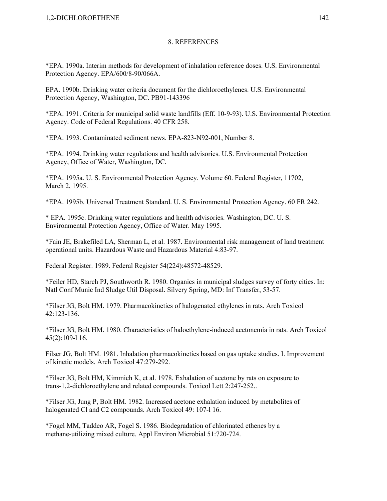\*EPA. 1990a. Interim methods for development of inhalation reference doses. U.S. Environmental Protection Agency. EPA/600/8-90/066A.

EPA. 1990b. Drinking water criteria document for the dichloroethylenes. U.S. Environmental Protection Agency, Washington, DC. PB91-143396

\*EPA. 1991. Criteria for municipal solid waste landfills (Eff. 10-9-93). U.S. Environmental Protection Agency. Code of Federal Regulations. 40 CFR 258.

\*EPA. 1993. Contaminated sediment news. EPA-823-N92-001, Number 8.

\*EPA. 1994. Drinking water regulations and health advisories. U.S. Environmental Protection Agency, Office of Water, Washington, DC.

\*EPA. 1995a. U. S. Environmental Protection Agency. Volume 60. Federal Register, 11702, March 2, 1995.

\*EPA. 1995b. Universal Treatment Standard. U. S. Environmental Protection Agency. 60 FR 242.

\* EPA. 1995c. Drinking water regulations and health advisories. Washington, DC. U. S. Environmental Protection Agency, Office of Water. May 1995.

\*Fain JE, Brakefiled LA, Sherman L, et al. 1987. Environmental risk management of land treatment operational units. Hazardous Waste and Hazardous Material 4:83-97.

Federal Register. 1989. Federal Register 54(224):48572-48529.

\*Feiler HD, Starch PJ, Southworth R. 1980. Organics in municipal sludges survey of forty cities. In: Natl Conf Munic Ind Sludge Util Disposal. Silvery Spring, MD: Inf Transfer, 53-57.

\*Filser JG, Bolt HM. 1979. Pharmacokinetics of halogenated ethylenes in rats. Arch Toxicol 42:123-136.

\*Filser JG, Bolt HM. 1980. Characteristics of haloethylene-induced acetonemia in rats. Arch Toxicol 45(2):109-l 16.

Filser JG, Bolt HM. 1981. Inhalation pharmacokinetics based on gas uptake studies. I. Improvement of kinetic models. Arch Toxicol 47:279-292.

\*Filser JG, Bolt HM, Kimmich K, et al. 1978. Exhalation of acetone by rats on exposure to trans-1,2-dichloroethylene and related compounds. Toxicol Lett 2:247-252..

\*Filser JG, Jung P, Bolt HM. 1982. Increased acetone exhalation induced by metabolites of halogenated Cl and C2 compounds. Arch Toxicol 49: 107-1 16.

\*Fogel MM, Taddeo AR, Fogel S. 1986. Biodegradation of chlorinated ethenes by a methane-utilizing mixed culture. Appl Environ Microbial 51:720-724.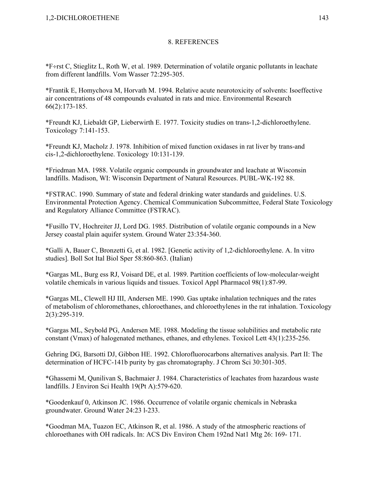\*F÷rst C, Stieglitz L, Roth W, et al. 1989. Determination of volatile organic pollutants in leachate from different landfills. Vom Wasser 72:295-305.

\*Frantik E, Homychova M, Horvath M. 1994. Relative acute neurotoxicity of solvents: Isoeffective air concentrations of 48 compounds evaluated in rats and mice. Environmental Research 66(2):173-185.

\*Freundt KJ, Liebaldt GP, Lieberwirth E. 1977. Toxicity studies on trans-1,2-dichloroethylene. Toxicology 7:141-153.

\*Freundt KJ, Macholz J. 1978. Inhibition of mixed function oxidases in rat liver by trans-and cis-1,2-dichloroethylene. Toxicology 10:131-139.

\*Friedman MA. 1988. Volatile organic compounds in groundwater and leachate at Wisconsin landfills. Madison, WI: Wisconsin Department of Natural Resources. PUBL-WK-192 88.

\*FSTRAC. 1990. Summary of state and federal drinking water standards and guidelines. U.S. Environmental Protection Agency. Chemical Communication Subcommittee, Federal State Toxicology and Regulatory Alliance Committee (FSTRAC).

\*Fusillo TV, Hochreiter JJ, Lord DG. 1985. Distribution of volatile organic compounds in a New Jersey coastal plain aquifer system. Ground Water 23:354-360.

\*Galli A, Bauer C, Bronzetti G, et al. 1982. [Genetic activity of 1,2-dichloroethylene. A. In vitro studies]. Boll Sot Ital Biol Sper 58:860-863. (Italian)

\*Gargas ML, Burg ess RJ, Voisard DE, et al. 1989. Partition coefficients of low-molecular-weight volatile chemicals in various liquids and tissues. Toxicol Appl Pharmacol 98(1):87-99.

\*Gargas ML, Clewell HJ III, Andersen ME. 1990. Gas uptake inhalation techniques and the rates of metabolism of chloromethanes, chloroethanes, and chloroethylenes in the rat inhalation. Toxicology 2(3):295-319.

\*Gargas ML, Seybold PG, Andersen ME. 1988. Modeling the tissue solubilities and metabolic rate constant (Vmax) of halogenated methanes, ethanes, and ethylenes. Toxicol Lett 43(1):235-256.

Gehring DG, Barsotti DJ, Gibbon HE. 1992. Chlorofluorocarbons alternatives analysis. Part II: The determination of HCFC-141b purity by gas chromatography. J Chrom Sci 30:301-305.

\*Ghassemi M, Qunilivan S, Bachmaier J. 1984. Characteristics of leachates from hazardous waste landfills. J Environ Sci Health 19(Pt A):579-620.

\*Goodenkauf 0, Atkinson JC. 1986. Occurrence of volatile organic chemicals in Nebraska groundwater. Ground Water 24:23 l-233.

\*Goodman MA, Tuazon EC, Atkinson R, et al. 1986. A study of the atmospheric reactions of chloroethanes with OH radicals. In: ACS Div Environ Chem 192nd Nat1 Mtg 26: 169- 171.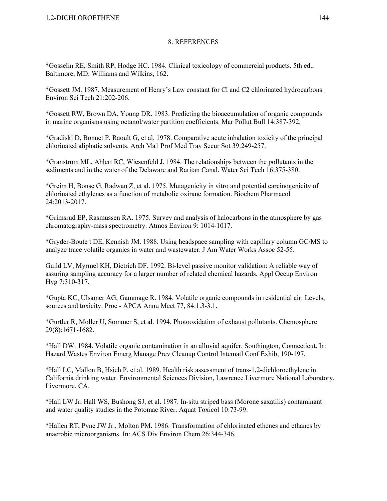\*Gosselin RE, Smith RP, Hodge HC. 1984. Clinical toxicology of commercial products. 5th ed., Baltimore, MD: Williams and Wilkins, 162.

\*Gossett JM. 1987. Measurement of Henry's Law constant for Cl and C2 chlorinated hydrocarbons. Environ Sci Tech 21:202-206.

\*Gossett RW, Brown DA, Young DR. 1983. Predicting the bioaccumulation of organic compounds in marine organisms using octanol/water partition coefficients. Mar Pollut Bull 14:387-392.

\*Gradiski D, Bonnet P, Raoult G, et al. 1978. Comparative acute inhalation toxicity of the principal chlorinated aliphatic solvents. Arch Ma1 Prof Med Trav Secur Sot 39:249-257.

\*Granstrom ML, Ahlert RC, Wiesenfeld J. 1984. The relationships between the pollutants in the sediments and in the water of the Delaware and Raritan Canal. Water Sci Tech 16:375-380.

\*Greim H, Bonse G, Radwan Z, et al. 1975. Mutagenicity in vitro and potential carcinogenicity of chlorinated ethylenes as a function of metabolic oxirane formation. Biochem Pharmacol 24:2013-2017.

\*Grimsrud EP, Rasmussen RA. 1975. Survey and analysis of halocarbons in the atmosphere by gas chromatography-mass spectrometry. Atmos Environ 9: 1014-1017.

\*Gryder-Boute t DE, Kennish JM. 1988. Using headspace sampling with capillary column GC/MS to analyze trace volatile organics in water and wastewater. J Am Water Works Assoc 52-55.

Guild LV, Myrmel KH, Dietrich DF. 1992. Bi-level passive monitor validation: A reliable way of assuring sampling accuracy for a larger number of related chemical hazards. Appl Occup Environ Hyg 7:310-317.

\*Gupta KC, Ulsamer AG, Gammage R. 1984. Volatile organic compounds in residential air: Levels, sources and toxicity. Proc - APCA Annu Meet 77, 84:1.3-3.1.

\*Gurtler R, Moller U, Sommer S, et al. 1994. Photooxidation of exhaust pollutants. Chemosphere 29(8):1671-1682.

\*Hall DW. 1984. Volatile organic contamination in an alluvial aquifer, Southington, Connecticut. In: Hazard Wastes Environ Emerg Manage Prev Cleanup Control Intematl Conf Exhib, 190-197.

\*Hall LC, Mallon B, Hsieh P, et al. 1989. Health risk assessment of trans-1,2-dichloroethylene in California drinking water. Environmental Sciences Division, Lawrence Livermore National Laboratory, Livermore, CA.

\*Hall LW Jr, Hall WS, Bushong SJ, et al. 1987. In-situ striped bass (Morone saxatilis) contaminant and water quality studies in the Potomac River. Aquat Toxicol 10:73-99.

\*Hallen RT, Pyne JW Jr., Molton PM. 1986. Transformation of chlorinated ethenes and ethanes by anaerobic microorganisms. In: ACS Div Environ Chem 26:344-346.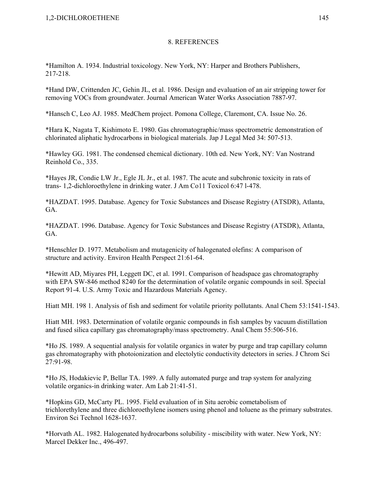\*Hamilton A. 1934. Industrial toxicology. New York, NY: Harper and Brothers Publishers, 217-218.

\*Hand DW, Crittenden JC, Gehin JL, et al. 1986. Design and evaluation of an air stripping tower for removing VOCs from groundwater. Journal American Water Works Association 7887-97.

\*Hansch C, Leo AJ. 1985. MedChem project. Pomona College, Claremont, CA. Issue No. 26.

\*Hara K, Nagata T, Kishimoto E. 1980. Gas chromatographic/mass spectrometric demonstration of chlorinated aliphatic hydrocarbons in biological materials. Jap J Legal Med 34: 507-513.

\*Hawley GG. 1981. The condensed chemical dictionary. 10th ed. New York, NY: Van Nostrand Reinhold Co., 335.

\*Hayes JR, Condie LW Jr., Egle JL Jr., et al. 1987. The acute and subchronic toxicity in rats of trans- 1,2-dichloroethylene in drinking water. J Am Co11 Toxicol 6:47 l-478.

\*HAZDAT. 1995. Database. Agency for Toxic Substances and Disease Registry (ATSDR), Atlanta, GA.

\*HAZDAT. 1996. Database. Agency for Toxic Substances and Disease Registry (ATSDR), Atlanta, GA.

\*Henschler D. 1977. Metabolism and mutagenicity of halogenated olefins: A comparison of structure and activity. Environ Health Perspect 21:61-64.

\*Hewitt AD, Miyares PH, Leggett DC, et al. 1991. Comparison of headspace gas chromatography with EPA SW-846 method 8240 for the determination of volatile organic compounds in soil. Special Report 91-4. U.S. Army Toxic and Hazardous Materials Agency.

Hiatt MH. 198 1. Analysis of fish and sediment for volatile priority pollutants. Anal Chem 53:1541-1543.

Hiatt MH. 1983. Determination of volatile organic compounds in fish samples by vacuum distillation and fused silica capillary gas chromatography/mass spectrometry. Anal Chem 55:506-516.

\*Ho JS. 1989. A sequential analysis for volatile organics in water by purge and trap capillary column gas chromatography with photoionization and electolytic conductivity detectors in series. J Chrom Sci 27:91-98.

\*Ho JS, Hodakievic P, Bellar TA. 1989. A fully automated purge and trap system for analyzing volatile organics-in drinking water. Am Lab 21:41-51.

\*Hopkins GD, McCarty PL. 1995. Field evaluation of in Situ aerobic cometabolism of trichlorethylene and three dichloroethylene isomers using phenol and toluene as the primary substrates. Environ Sci Technol 1628-1637.

\*Horvath AL. 1982. Halogenated hydrocarbons solubility - miscibility with water. New York, NY: Marcel Dekker Inc., 496-497.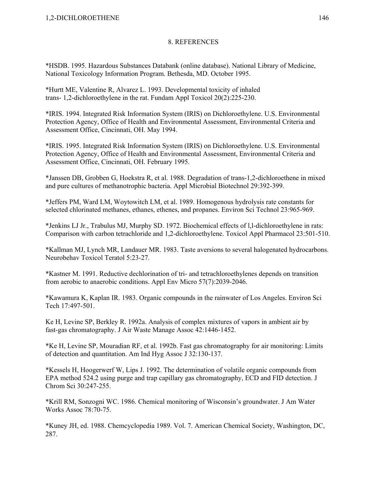\*HSDB. 1995. Hazardous Substances Databank (online database). National Library of Medicine, National Toxicology Information Program. Bethesda, MD. October 1995.

\*Hurtt ME, Valentine R, Alvarez L. 1993. Developmental toxicity of inhaled trans- 1,2-dichloroethylene in the rat. Fundam Appl Toxicol 20(2):225-230.

\*IRIS. 1994. Integrated Risk Information System (IRIS) on Dichloroethylene. U.S. Environmental Protection Agency, Office of Health and Environmental Assessment, Environmental Criteria and Assessment Office, Cincinnati, OH. May 1994.

\*IRIS. 1995. Integrated Risk Information System (IRIS) on Dichloroethylene. U.S. Environmental Protection Agency, Office of Health and Environmental Assessment, Environmental Criteria and Assessment Office, Cincinnati, OH. February 1995.

\*Janssen DB, Grobben G, Hoekstra R, et al. 1988. Degradation of trans-1,2-dichloroethene in mixed and pure cultures of methanotrophic bacteria. Appl Microbial Biotechnol 29:392-399.

\*Jeffers PM, Ward LM, Woytowitch LM, et al. 1989. Homogenous hydrolysis rate constants for selected chlorinated methanes, ethanes, ethenes, and propanes. Environ Sci Technol 23:965-969.

\*Jenkins LJ Jr., Trabulus MJ, Murphy SD. 1972. Biochemical effects of l,l-dichloroethylene in rats: Comparison with carbon tetrachloride and 1,2-dichloroethylene. Toxicol Appl Pharmacol 23:501-510.

\*Kallman MJ, Lynch MR, Landauer MR. 1983. Taste aversions to several halogenated hydrocarbons. Neurobehav Toxicol Teratol 5:23-27.

\*Kastner M. 1991. Reductive dechlorination of tri- and tetrachloroethylenes depends on transition from aerobic to anaerobic conditions. Appl Env Micro 57(7):2039-2046.

\*Kawamura K, Kaplan IR. 1983. Organic compounds in the rainwater of Los Angeles. Environ Sci Tech 17:497-501.

Ke H, Levine SP, Berkley R. 1992a. Analysis of complex mixtures of vapors in ambient air by fast-gas chromatography. J Air Waste Manage Assoc 42:1446-1452.

\*Ke H, Levine SP, Mouradian RF, et al. 1992b. Fast gas chromatography for air monitoring: Limits of detection and quantitation. Am Ind Hyg Assoc J 32:130-137.

\*Kessels H, Hoogerwerf W, Lips J. 1992. The determination of volatile organic compounds from EPA method 524.2 using purge and trap capillary gas chromatography, ECD and FID detection. J Chrom Sci 30:247-255.

\*Krill RM, Sonzogni WC. 1986. Chemical monitoring of Wisconsin's groundwater. J Am Water Works Assoc 78:70-75.

\*Kuney JH, ed. 1988. Chemcyclopedia 1989. Vol. 7. American Chemical Society, Washington, DC, 287.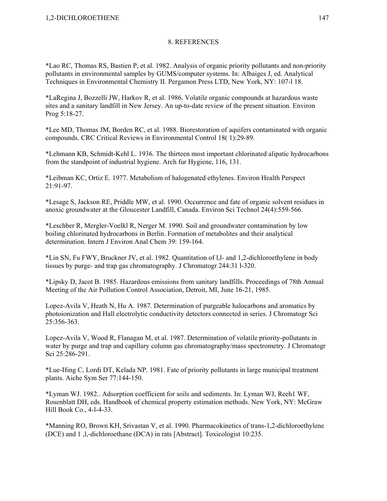\*Lao RC, Thomas RS, Bastien P, et al. 1982. Analysis of organic priority pollutants and non-priority pollutants in environmental samples by GUMS/computer systems. In: Albaiges J, ed. Analytical Techniques in Environmental Chemistry II. Pergamon Press LTD, New York, NY: 107-l 18.

\*LaRegina J, Bozzelli JW, Harkov R, et al. 1986. Volatile organic compounds at hazardous waste sites and a sanitary landfill in New Jersey. An up-to-date review of the present situation. Environ Prog 5:18-27.

\*Lee MD, Thomas JM, Borden RC, et al. 1988. Biorestoration of aquifers contaminated with organic compounds. CRC Critical Reviews in Environmental Control 18( 1):29-89.

\*Lehmann KB, Schmidt-Kehl L. 1936. The thirteen most important chlorinated alipatic hydrocarbons from the standpoint of industrial hygiene. Arch fur Hygiene, 116, 131.

\*Leibman KC, Ortiz E. 1977. Metabolism of halogenated ethylenes. Environ Health Perspect 21:91-97.

\*Lesage S, Jackson RE, Priddle MW, et al. 1990. Occurrence and fate of organic solvent residues in anoxic groundwater at the Gloucester Landfill, Canada. Environ Sci Technol 24(4):559-566.

\*Leschber R, Mergler-Voelkl R, Nerger M. 1990. Soil and groundwater contamination by low boiling chlorinated hydrocarbons in Berlin. Formation of metabolites and their analytical determination. Intern J Environ Anal Chem 39: 159-164.

\*Lin SN, Fu FWY, Bruckner JV, et al. 1982. Quantitation of l,l- and 1,2-dichloroethylene in body tissues by purge- and trap gas chromatography. J Chromatogr 244:31 l-320.

\*Lipsky D, Jacot B. 1985. Hazardous emissions from sanitary landfills. Proceedings of 78th Annual Meeting of the Air Pollution Control Association, Detroit, MI, June 16-21, 1985.

Lopez-Avila V, Heath N, Hu A. 1987. Determination of purgeable halocarbons and aromatics by photoionization and Hall electrolytic conductivity detectors connected in series. J Chromatogr Sci 25:356-363.

Lopez-Avila V, Wood R, Flanagan M, et al. 1987. Determination of volatile priority-pollutants in water by purge and trap and capillary column gas chromatography/mass spectrometry. J Chromatogr Sci 25:286-291.

\*Lue-Hing C, Lordi DT, Kelada NP. 1981. Fate of priority pollutants in large municipal treatment plants. Aiche Sym Ser 77:144-150.

\*Lyman WJ. 1982.. Adsorption coefficient for soils and sediments. In: Lyman WJ, Reeh1 WF, Rosenblatt DH, eds. Handbook of chemical property estimation methods. New York, NY: McGraw Hill Book Co., 4-l-4-33.

\*Manning RO, Brown KH, Srivastan V, et al. 1990. Pharmacokinetics of trans-1,2-dichloroethylene (DCE) and 1 ,l,-dichloroethane (DCA) in rats [Abstract]. Toxicologist 10:235.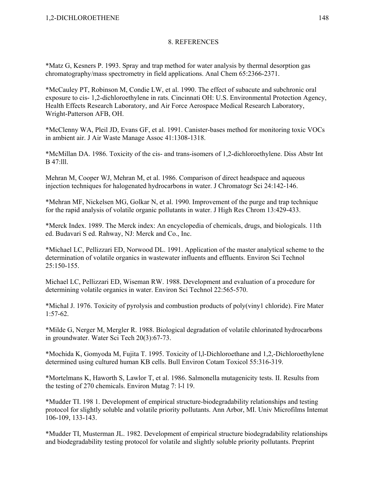\*Matz G, Kesners P. 1993. Spray and trap method for water analysis by thermal desorption gas chromatography/mass spectrometry in field applications. Anal Chem 65:2366-2371.

\*McCauley PT, Robinson M, Condie LW, et al. 1990. The effect of subacute and subchronic oral exposure to cis- 1,2-dichloroethylene in rats. Cincinnati OH: U.S. Environmental Protection Agency, Health Effects Research Laboratory, and Air Force Aerospace Medical Research Laboratory, Wright-Patterson AFB, OH.

\*McClenny WA, Pleil JD, Evans GF, et al. 1991. Canister-bases method for monitoring toxic VOCs in ambient air. J Air Waste Manage Assoc 41:1308-1318.

\*McMillan DA. 1986. Toxicity of the cis- and trans-isomers of 1,2-dichloroethylene. Diss Abstr Int B 47:lll.

Mehran M, Cooper WJ, Mehran M, et al. 1986. Comparison of direct headspace and aqueous injection techniques for halogenated hydrocarbons in water. J Chromatogr Sci 24:142-146.

\*Mehran MF, Nickelsen MG, Golkar N, et al. 1990. Improvement of the purge and trap technique for the rapid analysis of volatile organic pollutants in water. J High Res Chrom 13:429-433.

\*Merck Index. 1989. The Merck index: An encyclopedia of chemicals, drugs, and biologicals. 11th ed. Budavari S ed. Rahway, NJ: Merck and Co., Inc.

\*Michael LC, Pellizzari ED, Norwood DL. 1991. Application of the master analytical scheme to the determination of volatile organics in wastewater influents and effluents. Environ Sci Technol  $25:150-155$ 

Michael LC, Pellizzari ED, Wiseman RW. 1988. Development and evaluation of a procedure for determining volatile organics in water. Environ Sci Technol 22:565-570.

\*Michal J. 1976. Toxicity of pyrolysis and combustion products of poly(viny1 chloride). Fire Mater  $1:57-62$ .

\*Milde G, Nerger M, Mergler R. 1988. Biological degradation of volatile chlorinated hydrocarbons in groundwater. Water Sci Tech 20(3):67-73.

\*Mochida K, Gomyoda M, Fujita T. 1995. Toxicity of l,l-Dichloroethane and 1,2,-Dichloroethylene determined using cultured human KB cells. Bull Environ Cotam Toxicol 55:316-319.

\*Mortelmans K, Haworth S, Lawlor T, et al. 1986. Salmonella mutagenicity tests. II. Results from the testing of 270 chemicals. Environ Mutag 7: l-l 19.

\*Mudder TI. 198 1. Development of empirical structure-biodegradability relationships and testing protocol for slightly soluble and volatile priority pollutants. Ann Arbor, MI. Univ Microfilms Intemat 106-109, 133-143.

\*Mudder TI, Musterman JL. 1982. Development of empirical structure biodegradability relationships and biodegradability testing protocol for volatile and slightly soluble priority pollutants. Preprint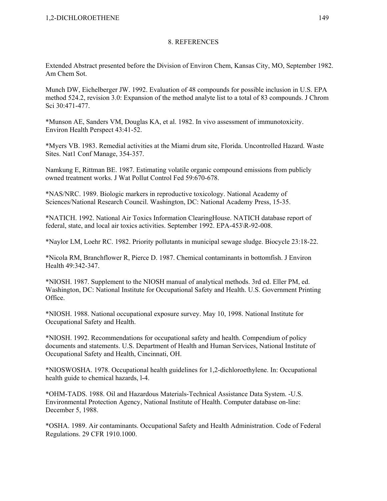Extended Abstract presented before the Division of Environ Chem, Kansas City, MO, September 1982. Am Chem Sot.

Munch DW, Eichelberger JW. 1992. Evaluation of 48 compounds for possible inclusion in U.S. EPA method 524.2, revision 3.0: Expansion of the method analyte list to a total of 83 compounds. J Chrom Sci 30:471-477.

\*Munson AE, Sanders VM, Douglas KA, et al. 1982. In vivo assessment of immunotoxicity. Environ Health Perspect 43:41-52.

\*Myers VB. 1983. Remedial activities at the Miami drum site, Florida. Uncontrolled Hazard. Waste Sites. Nat1 Conf Manage, 354-357.

Namkung E, Rittman BE. 1987. Estimating volatile organic compound emissions from publicly owned treatment works. J Wat Pollut Control Fed 59:670-678.

\*NAS/NRC. 1989. Biologic markers in reproductive toxicology. National Academy of Sciences/National Research Council. Washington, DC: National Academy Press, 15-35.

\*NATICH. 1992. National Air Toxics Information ClearingHouse. NATICH database report of federal, state, and local air toxics activities. September 1992. EPA-453\R-92-008.

\*Naylor LM, Loehr RC. 1982. Priority pollutants in municipal sewage sludge. Biocycle 23:18-22.

\*Nicola RM, Branchflower R, Pierce D. 1987. Chemical contaminants in bottomfish. J Environ Health 49:342-347.

\*NIOSH. 1987. Supplement to the NIOSH manual of analytical methods. 3rd ed. Eller PM, ed. Washington, DC: National Institute for Occupational Safety and Health. U.S. Government Printing Office.

\*NIOSH. 1988. National occupational exposure survey. May 10, 1998. National Institute for Occupational Safety and Health.

\*NIOSH. 1992. Recommendations for occupational safety and health. Compendium of policy documents and statements. U.S. Department of Health and Human Services, National Institute of Occupational Safety and Health, Cincinnati, OH.

\*NIOSWOSHA. 1978. Occupational health guidelines for 1,2-dichloroethylene. In: Occupational health guide to chemical hazards, l-4.

\*OHM-TADS. 1988. Oil and Hazardous Materials-Technical Assistance Data System. -U.S. Environmental Protection Agency, National Institute of Health. Computer database on-line: December 5, 1988.

\*OSHA. 1989. Air contaminants. Occupational Safety and Health Administration. Code of Federal Regulations. 29 CFR 1910.1000.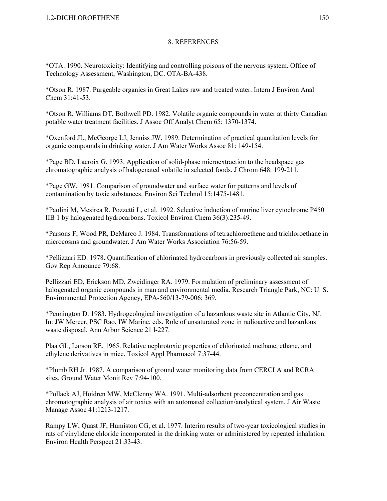\*OTA. 1990. Neurotoxicity: Identifying and controlling poisons of the nervous system. Office of Technology Assessment, Washington, DC. OTA-BA-438.

\*Otson R. 1987. Purgeable organics in Great Lakes raw and treated water. Intern J Environ Anal Chem 31:41-53.

\*Otson R, Williams DT, Bothwell PD. 1982. Volatile organic compounds in water at thirty Canadian potable water treatment facilities. J Assoc Off Analyt Chem 65: 1370-1374.

\*Oxenford JL, McGeorge LJ, Jenniss JW. 1989. Determination of practical quantitation levels for organic compounds in drinking water. J Am Water Works Assoc 81: 149-154.

\*Page BD, Lacroix G. 1993. Application of solid-phase microextraction to the headspace gas chromatographic analysis of halogenated volatile in selected foods. J Chrom 648: 199-211.

\*Page GW. 1981. Comparison of groundwater and surface water for patterns and levels of contamination by toxic substances. Environ Sci Technol 15:1475-1481.

\*Paolini M, Mesirca R, Pozzetti L, et al. 1992. Selective induction of murine liver cytochrome P450 IIB 1 by halogenated hydrocarbons. Toxicol Environ Chem 36(3):235-49.

\*Parsons F, Wood PR, DeMarco J. 1984. Transformations of tetrachloroethene and trichloroethane in microcosms and groundwater. J Am Water Works Association 76:56-59.

\*Pellizzari ED. 1978. Quantification of chlorinated hydrocarbons in previously collected air samples. Gov Rep Announce 79:68.

Pellizzari ED, Erickson MD, Zweidinger RA. 1979. Formulation of preliminary assessment of halogenated organic compounds in man and environmental media. Research Triangle Park, NC: U. S. Environmental Protection Agency, EPA-560/13-79-006; 369.

\*Pennington D. 1983. Hydrogeological investigation of a hazardous waste site in Atlantic City, NJ. In: JW Mercer, PSC Rao, IW Marine, eds. Role of unsaturated zone in radioactive and hazardous waste disposal. Ann Arbor Science 21 l-227.

Plaa GL, Larson RE. 1965. Relative nephrotoxic properties of chlorinated methane, ethane, and ethylene derivatives in mice. Toxicol Appl Pharmacol 7:37-44.

\*Plumb RH Jr. 1987. A comparison of ground water monitoring data from CERCLA and RCRA sites. Ground Water Monit Rev 7:94-100.

\*Pollack AJ, Hoidren MW, McClenny WA. 1991. Multi-adsorbent preconcentration and gas chromatographic analysis of air toxics with an automated collection/analytical system. J Air Waste Manage Assoc 41:1213-1217.

Rampy LW, Quast JF, Humiston CG, et al. 1977. Interim results of two-year toxicological studies in rats of vinylidene chloride incorporated in the drinking water or administered by repeated inhalation. Environ Health Perspect 21:33-43.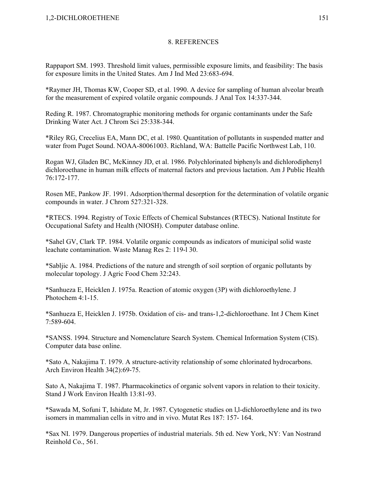Rappaport SM. 1993. Threshold limit values, permissible exposure limits, and feasibility: The basis for exposure limits in the United States. Am J Ind Med 23:683-694.

\*Raymer JH, Thomas KW, Cooper SD, et al. 1990. A device for sampling of human alveolar breath for the measurement of expired volatile organic compounds. J Anal Tox 14:337-344.

Reding R. 1987. Chromatographic monitoring methods for organic contaminants under the Safe Drinking Water Act. J Chrom Sci 25:338-344.

\*Riley RG, Crecelius EA, Mann DC, et al. 1980. Quantitation of pollutants in suspended matter and water from Puget Sound. NOAA-80061003. Richland, WA: Battelle Pacific Northwest Lab, 110.

Rogan WJ, Gladen BC, McKinney JD, et al. 1986. Polychlorinated biphenyls and dichlorodiphenyl dichloroethane in human milk effects of maternal factors and previous lactation. Am J Public Health 76:172-177.

Rosen ME, Pankow JF. 1991. Adsorption/thermal desorption for the determination of volatile organic compounds in water. J Chrom 527:321-328.

\*RTECS. 1994. Registry of Toxic Effects of Chemical Substances (RTECS). National Institute for Occupational Safety and Health (NIOSH). Computer database online.

\*Sahel GV, Clark TP. 1984. Volatile organic compounds as indicators of municipal solid waste leachate contamination. Waste Manag Res 2: 119-l 30.

\*Sabljic A. 1984. Predictions of the nature and strength of soil sorption of organic pollutants by molecular topology. J Agric Food Chem 32:243.

\*Sanhueza E, Heicklen J. 1975a. Reaction of atomic oxygen (3P) with dichloroethylene. J Photochem 4:1-15.

\*Sanhueza E, Heicklen J. 1975b. Oxidation of cis- and trans-1,2-dichloroethane. Int J Chem Kinet 7:589-604.

\*SANSS. 1994. Structure and Nomenclature Search System. Chemical Information System (CIS). Computer data base online.

\*Sato A, Nakajima T. 1979. A structure-activity relationship of some chlorinated hydrocarbons. Arch Environ Health 34(2):69-75.

Sato A, Nakajima T. 1987. Pharmacokinetics of organic solvent vapors in relation to their toxicity. Stand J Work Environ Health 13:81-93.

\*Sawada M, Sofuni T, Ishidate M, Jr. 1987. Cytogenetic studies on l,l-dichloroethylene and its two isomers in mammalian cells in vitro and in vivo. Mutat Res 187: 157- 164.

\*Sax NI. 1979. Dangerous properties of industrial materials. 5th ed. New York, NY: Van Nostrand Reinhold Co., 561.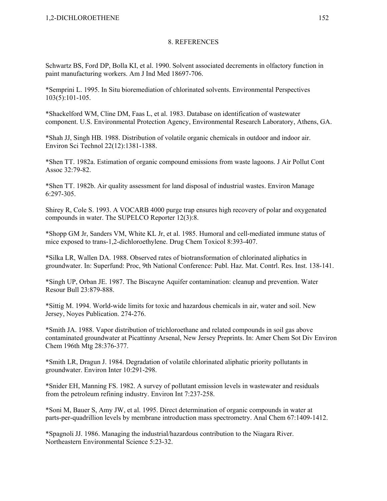Schwartz BS, Ford DP, Bolla KI, et al. 1990. Solvent associated decrements in olfactory function in paint manufacturing workers. Am J Ind Med 18697-706.

\*Semprini L. 1995. In Situ bioremediation of chlorinated solvents. Environmental Perspectives 103(5):101-105.

\*Shackelford WM, Cline DM, Faas L, et al. 1983. Database on identification of wastewater component. U.S. Environmental Protection Agency, Environmental Research Laboratory, Athens, GA.

\*Shah JJ, Singh HB. 1988. Distribution of volatile organic chemicals in outdoor and indoor air. Environ Sci Technol 22(12):1381-1388.

\*Shen TT. 1982a. Estimation of organic compound emissions from waste lagoons. J Air Pollut Cont Assoc 32:79-82.

\*Shen TT. 1982b. Air quality assessment for land disposal of industrial wastes. Environ Manage 6:297-305.

Shirey R, Cole S. 1993. A VOCARB 4000 purge trap ensures high recovery of polar and oxygenated compounds in water. The SUPELCO Reporter 12(3):8.

\*Shopp GM Jr, Sanders VM, White KL Jr, et al. 1985. Humoral and cell-mediated immune status of mice exposed to trans-1,2-dichloroethylene. Drug Chem Toxicol 8:393-407.

\*Silka LR, Wallen DA. 1988. Observed rates of biotransformation of chlorinated aliphatics in groundwater. In: Superfund: Proc, 9th National Conference: Publ. Haz. Mat. Contrl. Res. Inst. 138-141.

\*Singh UP, Orban JE. 1987. The Biscayne Aquifer contamination: cleanup and prevention. Water Resour Bull 23:879-888.

\*Sittig M. 1994. World-wide limits for toxic and hazardous chemicals in air, water and soil. New Jersey, Noyes Publication. 274-276.

\*Smith JA. 1988. Vapor distribution of trichloroethane and related compounds in soil gas above contaminated groundwater at Picattinny Arsenal, New Jersey Preprints. In: Amer Chem Sot Div Environ Chem 196th Mtg 28:376-377.

\*Smith LR, Dragun J. 1984. Degradation of volatile chlorinated aliphatic priority pollutants in groundwater. Environ Inter 10:291-298.

\*Snider EH, Manning FS. 1982. A survey of pollutant emission levels in wastewater and residuals from the petroleum refining industry. Environ Int 7:237-258.

\*Soni M, Bauer S, Amy JW, et al. 1995. Direct determination of organic compounds in water at parts-per-quadrillion levels by membrane introduction mass spectrometry. Anal Chem 67:1409-1412.

\*Spagnoli JJ. 1986. Managing the industrial/hazardous contribution to the Niagara River. Northeastern Environmental Science 5:23-32.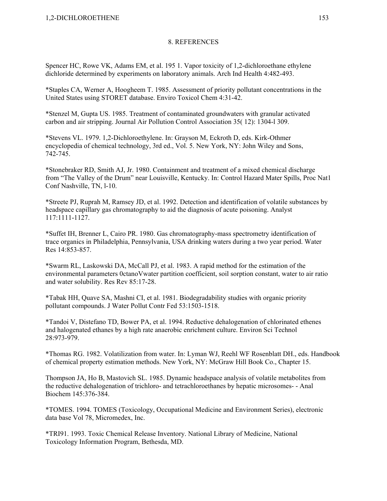Spencer HC, Rowe VK, Adams EM, et al. 195 1. Vapor toxicity of 1,2-dichloroethane ethylene dichloride determined by experiments on laboratory animals. Arch Ind Health 4:482-493.

\*Staples CA, Werner A, Hoogheem T. 1985. Assessment of priority pollutant concentrations in the United States using STORET database. Enviro Toxicol Chem 4:31-42.

\*Stenzel M, Gupta US. 1985. Treatment of contaminated groundwaters with granular activated carbon and air stripping. Journal Air Pollution Control Association 35( 12): 1304-l 309.

\*Stevens VL. 1979. 1,2-Dichloroethylene. In: Grayson M, Eckroth D, eds. Kirk-Othmer encyclopedia of chemical technology, 3rd ed., Vol. 5. New York, NY: John Wiley and Sons, 742-745.

\*Stonebraker RD, Smith AJ, Jr. 1980. Containment and treatment of a mixed chemical discharge from "The Valley of the Drum" near Louisville, Kentucky. In: Control Hazard Mater Spills, Proc Nat1 Conf Nashville, TN, l-10.

\*Streete PJ, Ruprah M, Ramsey JD, et al. 1992. Detection and identification of volatile substances by headspace capillary gas chromatography to aid the diagnosis of acute poisoning. Analyst 117:1111-1127.

\*Suffet IH, Brenner L, Cairo PR. 1980. Gas chromatography-mass spectrometry identification of trace organics in Philadelphia, Pennsylvania, USA drinking waters during a two year period. Water Res 14:853-857.

\*Swarm RL, Laskowski DA, McCall PJ, et al. 1983. A rapid method for the estimation of the environmental parameters 0ctanoVwater partition coefficient, soil sorption constant, water to air ratio and water solubility. Res Rev 85:17-28.

\*Tabak HH, Quave SA, Mashni CI, et al. 1981. Biodegradability studies with organic priority pollutant compounds. J Water Pollut Contr Fed 53:1503-1518.

\*Tandoi V, Distefano TD, Bower PA, et al. 1994. Reductive dehalogenation of chlorinated ethenes and halogenated ethanes by a high rate anaerobic enrichment culture. Environ Sci Technol 28:973-979.

\*Thomas RG. 1982. Volatilization from water. In: Lyman WJ, Reehl WF Rosenblatt DH., eds. Handbook of chemical property estimation methods. New York, NY: McGraw Hill Book Co., Chapter 15.

Thompson JA, Ho B, Mastovich SL. 1985. Dynamic headspace analysis of volatile metabolites from the reductive dehalogenation of trichloro- and tetrachloroethanes by hepatic microsomes- - Anal Biochem 145:376-384.

\*TOMES. 1994. TOMES (Toxicology, Occupational Medicine and Environment Series), electronic data base Vol 78, Micromedex, Inc.

\*TRI91. 1993. Toxic Chemical Release Inventory. National Library of Medicine, National Toxicology Information Program, Bethesda, MD.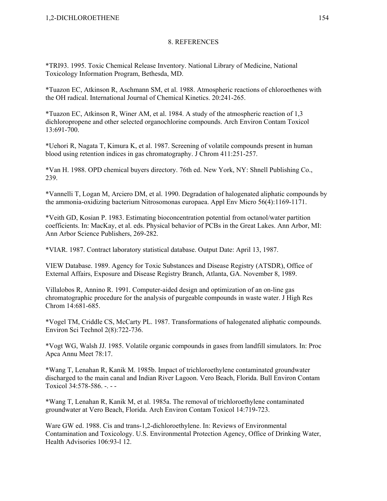\*TRI93. 1995. Toxic Chemical Release Inventory. National Library of Medicine, National Toxicology Information Program, Bethesda, MD.

\*Tuazon EC, Atkinson R, Aschmann SM, et al. 1988. Atmospheric reactions of chloroethenes with the OH radical. International Journal of Chemical Kinetics. 20:241-265.

\*Tuazon EC, Atkinson R, Winer AM, et al. 1984. A study of the atmospheric reaction of 1,3 dichloropropene and other selected organochlorine compounds. Arch Environ Contam Toxicol 13:691-700.

\*Uehori R, Nagata T, Kimura K, et al. 1987. Screening of volatile compounds present in human blood using retention indices in gas chromatography. J Chrom 411:251-257.

\*Van H. 1988. OPD chemical buyers directory. 76th ed. New York, NY: Shnell Publishing Co., 239.

\*Vannelli T, Logan M, Arciero DM, et al. 1990. Degradation of halogenated aliphatic compounds by the ammonia-oxidizing bacterium Nitrosomonas europaea. Appl Env Micro 56(4):1169-1171.

\*Veith GD, Kosian P. 1983. Estimating bioconcentration potential from octanol/water partition coefficients. In: MacKay, et al. eds. Physical behavior of PCBs in the Great Lakes. Ann Arbor, MI: Ann Arbor Science Publishers, 269-282.

\*VIAR. 1987. Contract laboratory statistical database. Output Date: April 13, 1987.

VIEW Database. 1989. Agency for Toxic Substances and Disease Registry (ATSDR), Office of External Affairs, Exposure and Disease Registry Branch, Atlanta, GA. November 8, 1989.

Villalobos R, Annino R. 1991. Computer-aided design and optimization of an on-line gas chromatographic procedure for the analysis of purgeable compounds in waste water. J High Res Chrom 14:681-685.

\*Vogel TM, Criddle CS, McCarty PL. 1987. Transformations of halogenated aliphatic compounds. Environ Sci Technol 2(8):722-736.

\*Vogt WG, Walsh JJ. 1985. Volatile organic compounds in gases from landfill simulators. In: Proc Apca Annu Meet 78:17.

\*Wang T, Lenahan R, Kanik M. 1985b. Impact of trichloroethylene contaminated groundwater discharged to the main canal and Indian River Lagoon. Vero Beach, Florida. Bull Environ Contam Toxicol 34:578-586. -. -

\*Wang T, Lenahan R, Kanik M, et al. 1985a. The removal of trichloroethylene contaminated groundwater at Vero Beach, Florida. Arch Environ Contam Toxicol 14:719-723.

Ware GW ed. 1988. Cis and trans-1,2-dichloroethylene. In: Reviews of Environmental Contamination and Toxicology. U.S. Environmental Protection Agency, Office of Drinking Water, Health Advisories 106:93-l 12.